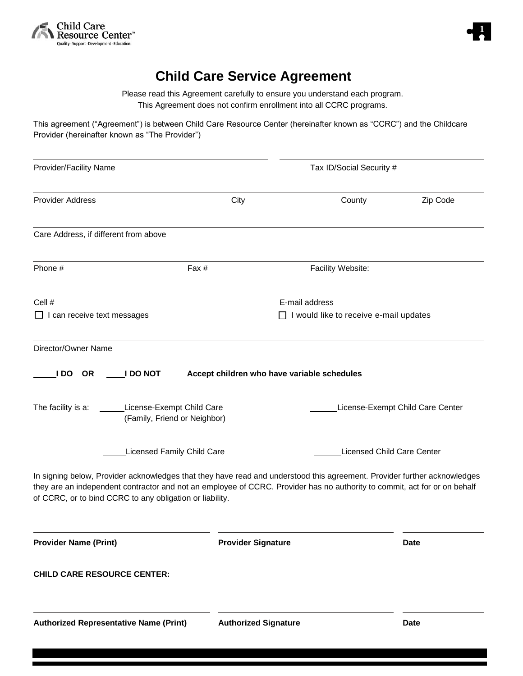



## **Child Care Service Agreement**

Please read this Agreement carefully to ensure you understand each program. This Agreement does not confirm enrollment into all CCRC programs.

This agreement ("Agreement") is between Child Care Resource Center (hereinafter known as "CCRC") and the Childcare Provider (hereinafter known as "The Provider")

| Provider/Facility Name                                                                                                                                                                |                             | Tax ID/Social Security #                                                                                                                                      |                                  |
|---------------------------------------------------------------------------------------------------------------------------------------------------------------------------------------|-----------------------------|---------------------------------------------------------------------------------------------------------------------------------------------------------------|----------------------------------|
| <b>Provider Address</b>                                                                                                                                                               | City                        | County                                                                                                                                                        | Zip Code                         |
| Care Address, if different from above                                                                                                                                                 |                             |                                                                                                                                                               |                                  |
| Phone #<br>Fax #                                                                                                                                                                      |                             | Facility Website:                                                                                                                                             |                                  |
| Cell #<br>$\Box$ I can receive text messages                                                                                                                                          |                             | E-mail address<br>$\Box$ I would like to receive e-mail updates                                                                                               |                                  |
| Director/Owner Name<br><b>OR</b><br><b>I DO NOT</b><br>I DO.<br>License-Exempt Child Care<br>The facility is a:                                                                       |                             | Accept children who have variable schedules                                                                                                                   | License-Exempt Child Care Center |
| (Family, Friend or Neighbor)<br><b>Licensed Family Child Care</b>                                                                                                                     |                             | <b>Licensed Child Care Center</b><br>In signing below, Provider acknowledges that they have read and understood this agreement. Provider further acknowledges |                                  |
| they are an independent contractor and not an employee of CCRC. Provider has no authority to commit, act for or on behalf<br>of CCRC, or to bind CCRC to any obligation or liability. |                             |                                                                                                                                                               |                                  |
| <b>Provider Name (Print)</b>                                                                                                                                                          | <b>Provider Signature</b>   |                                                                                                                                                               | <b>Date</b>                      |
| <b>CHILD CARE RESOURCE CENTER:</b>                                                                                                                                                    |                             |                                                                                                                                                               |                                  |
| <b>Authorized Representative Name (Print)</b>                                                                                                                                         | <b>Authorized Signature</b> |                                                                                                                                                               | <b>Date</b>                      |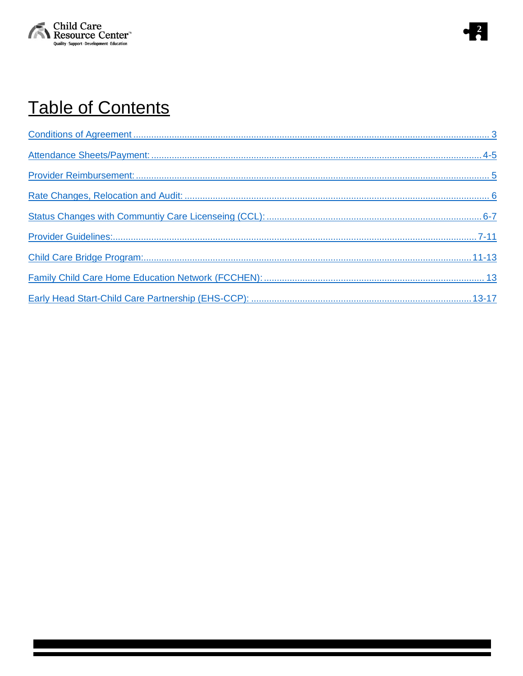



# **Table of Contents**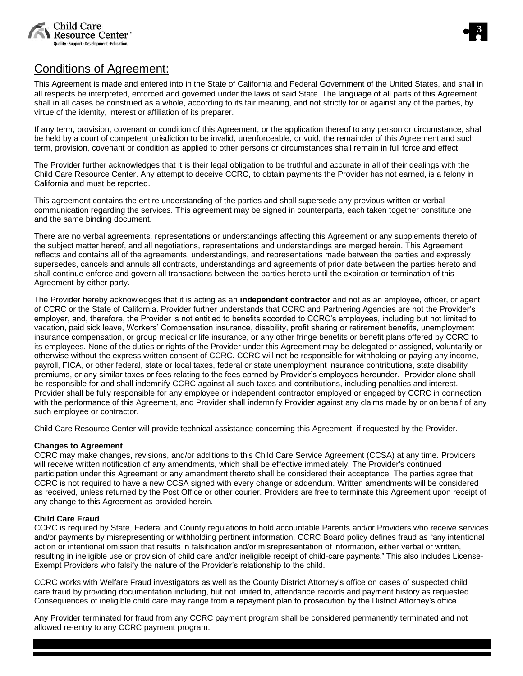



## <span id="page-2-0"></span>Conditions of Agreement:

This Agreement is made and entered into in the State of California and Federal Government of the United States, and shall in all respects be interpreted, enforced and governed under the laws of said State. The language of all parts of this Agreement shall in all cases be construed as a whole, according to its fair meaning, and not strictly for or against any of the parties, by virtue of the identity, interest or affiliation of its preparer.

If any term, provision, covenant or condition of this Agreement, or the application thereof to any person or circumstance, shall be held by a court of competent jurisdiction to be invalid, unenforceable, or void, the remainder of this Agreement and such term, provision, covenant or condition as applied to other persons or circumstances shall remain in full force and effect.

The Provider further acknowledges that it is their legal obligation to be truthful and accurate in all of their dealings with the Child Care Resource Center. Any attempt to deceive CCRC, to obtain payments the Provider has not earned, is a felony in California and must be reported.

This agreement contains the entire understanding of the parties and shall supersede any previous written or verbal communication regarding the services. This agreement may be signed in counterparts, each taken together constitute one and the same binding document.

There are no verbal agreements, representations or understandings affecting this Agreement or any supplements thereto of the subject matter hereof, and all negotiations, representations and understandings are merged herein. This Agreement reflects and contains all of the agreements, understandings, and representations made between the parties and expressly supersedes, cancels and annuls all contracts, understandings and agreements of prior date between the parties hereto and shall continue enforce and govern all transactions between the parties hereto until the expiration or termination of this Agreement by either party.

The Provider hereby acknowledges that it is acting as an **independent contractor** and not as an employee, officer, or agent of CCRC or the State of California. Provider further understands that CCRC and Partnering Agencies are not the Provider's employer, and, therefore, the Provider is not entitled to benefits accorded to CCRC's employees, including but not limited to vacation, paid sick leave, Workers' Compensation insurance, disability, profit sharing or retirement benefits, unemployment insurance compensation, or group medical or life insurance, or any other fringe benefits or benefit plans offered by CCRC to its employees. None of the duties or rights of the Provider under this Agreement may be delegated or assigned, voluntarily or otherwise without the express written consent of CCRC. CCRC will not be responsible for withholding or paying any income, payroll, FICA, or other federal, state or local taxes, federal or state unemployment insurance contributions, state disability premiums, or any similar taxes or fees relating to the fees earned by Provider's employees hereunder. Provider alone shall be responsible for and shall indemnify CCRC against all such taxes and contributions, including penalties and interest. Provider shall be fully responsible for any employee or independent contractor employed or engaged by CCRC in connection with the performance of this Agreement, and Provider shall indemnify Provider against any claims made by or on behalf of any such employee or contractor.

Child Care Resource Center will provide technical assistance concerning this Agreement, if requested by the Provider.

#### **Changes to Agreement**

CCRC may make changes, revisions, and/or additions to this Child Care Service Agreement (CCSA) at any time. Providers will receive written notification of any amendments, which shall be effective immediately. The Provider's continued participation under this Agreement or any amendment thereto shall be considered their acceptance. The parties agree that CCRC is not required to have a new CCSA signed with every change or addendum. Written amendments will be considered as received, unless returned by the Post Office or other courier. Providers are free to terminate this Agreement upon receipt of any change to this Agreement as provided herein.

#### **Child Care Fraud**

CCRC is required by State, Federal and County regulations to hold accountable Parents and/or Providers who receive services and/or payments by misrepresenting or withholding pertinent information. CCRC Board policy defines fraud as "any intentional action or intentional omission that results in falsification and/or misrepresentation of information, either verbal or written, resulting in ineligible use or provision of child care and/or ineligible receipt of child-care payments." This also includes License-Exempt Providers who falsify the nature of the Provider's relationship to the child.

CCRC works with Welfare Fraud investigators as well as the County District Attorney's office on cases of suspected child care fraud by providing documentation including, but not limited to, attendance records and payment history as requested. Consequences of ineligible child care may range from a repayment plan to prosecution by the District Attorney's office.

Any Provider terminated for fraud from any CCRC payment program shall be considered permanently terminated and not allowed re-entry to any CCRC payment program.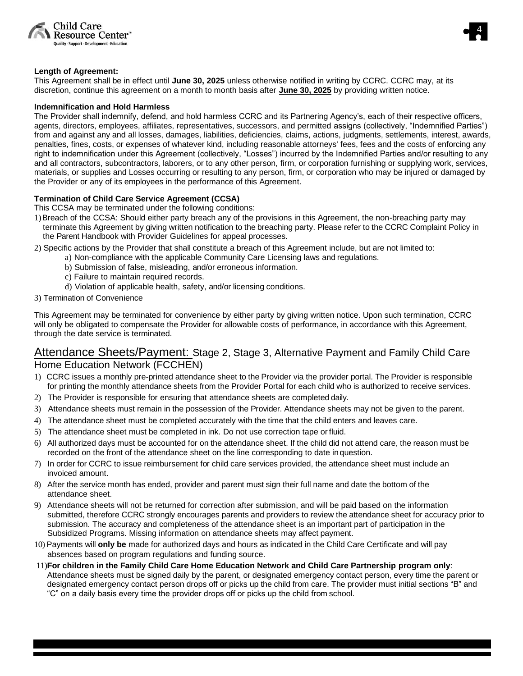



### **Length of Agreement:**

This Agreement shall be in effect until **June 30, 2025** unless otherwise notified in writing by CCRC. CCRC may, at its discretion, continue this agreement on a month to month basis after **June 30, 2025** by providing written notice.

#### **Indemnification and Hold Harmless**

The Provider shall indemnify, defend, and hold harmless CCRC and its Partnering Agency's, each of their respective officers, agents, directors, employees, affiliates, representatives, successors, and permitted assigns (collectively, "Indemnified Parties") from and against any and all losses, damages, liabilities, deficiencies, claims, actions, judgments, settlements, interest, awards, penalties, fines, costs, or expenses of whatever kind, including reasonable attorneys' fees, fees and the costs of enforcing any right to indemnification under this Agreement (collectively, "Losses") incurred by the Indemnified Parties and/or resulting to any and all contractors, subcontractors, laborers, or to any other person, firm, or corporation furnishing or supplying work, services, materials, or supplies and Losses occurring or resulting to any person, firm, or corporation who may be injured or damaged by the Provider or any of its employees in the performance of this Agreement.

## **Termination of Child Care Service Agreement (CCSA)**

This CCSA may be terminated under the following conditions:

- 1)Breach of the CCSA: Should either party breach any of the provisions in this Agreement, the non-breaching party may terminate this Agreement by giving written notification to the breaching party. Please refer to the CCRC Complaint Policy in the Parent Handbook with Provider Guidelines for appeal processes.
- 2) Specific actions by the Provider that shall constitute a breach of this Agreement include, but are not limited to:
	- a) Non-compliance with the applicable Community Care Licensing laws and regulations.
	- b) Submission of false, misleading, and/or erroneous information.
	- c) Failure to maintain required records.
	- d) Violation of applicable health, safety, and/or licensing conditions.
- 3) Termination of Convenience

This Agreement may be terminated for convenience by either party by giving written notice. Upon such termination, CCRC will only be obligated to compensate the Provider for allowable costs of performance, in accordance with this Agreement, through the date service is terminated.

## <span id="page-3-0"></span>Attendance Sheets/Payment: Stage 2, Stage 3, Alternative Payment and Family Child Care Home Education Network (FCCHEN)

- 1) CCRC issues a monthly pre-printed attendance sheet to the Provider via the provider portal. The Provider is responsible for printing the monthly attendance sheets from the Provider Portal for each child who is authorized to receive services.
- 2) The Provider is responsible for ensuring that attendance sheets are completed daily.
- 3) Attendance sheets must remain in the possession of the Provider. Attendance sheets may not be given to the parent.
- 4) The attendance sheet must be completed accurately with the time that the child enters and leaves care.
- 5) The attendance sheet must be completed in ink. Do not use correction tape or fluid.
- 6) All authorized days must be accounted for on the attendance sheet. If the child did not attend care, the reason must be recorded on the front of the attendance sheet on the line corresponding to date in question.
- 7) In order for CCRC to issue reimbursement for child care services provided, the attendance sheet must include an invoiced amount.
- 8) After the service month has ended, provider and parent must sign their full name and date the bottom of the attendance sheet.
- 9) Attendance sheets will not be returned for correction after submission, and will be paid based on the information submitted, therefore CCRC strongly encourages parents and providers to review the attendance sheet for accuracy prior to submission. The accuracy and completeness of the attendance sheet is an important part of participation in the Subsidized Programs. Missing information on attendance sheets may affect payment.
- 10) Payments will **only be** made for authorized days and hours as indicated in the Child Care Certificate and will pay absences based on program regulations and funding source.
- 11)**For children in the Family Child Care Home Education Network and Child Care Partnership program only**: Attendance sheets must be signed daily by the parent, or designated emergency contact person, every time the parent or designated emergency contact person drops off or picks up the child from care. The provider must initial sections "B" and "C" on a daily basis every time the provider drops off or picks up the child from school.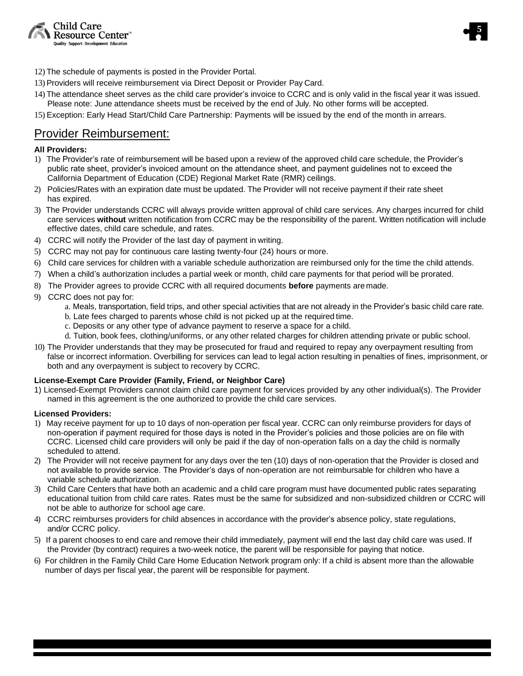



- 12) The schedule of payments is posted in the Provider Portal.
- 13) Providers will receive reimbursement via Direct Deposit or Provider Pay Card.
- 14) The attendance sheet serves as the child care provider's invoice to CCRC and is only valid in the fiscal year it was issued. Please note: June attendance sheets must be received by the end of July. No other forms will be accepted.
- 15) Exception: Early Head Start/Child Care Partnership: Payments will be issued by the end of the month in arrears.

## <span id="page-4-0"></span>Provider Reimbursement:

## **All Providers:**

- 1) The Provider's rate of reimbursement will be based upon a review of the approved child care schedule, the Provider's public rate sheet, provider's invoiced amount on the attendance sheet, and payment guidelines not to exceed the California Department of Education (CDE) Regional Market Rate (RMR) ceilings.
- 2) Policies/Rates with an expiration date must be updated. The Provider will not receive payment if their rate sheet has expired.
- 3) The Provider understands CCRC will always provide written approval of child care services. Any charges incurred for child care services **without** written notification from CCRC may be the responsibility of the parent. Written notification will include effective dates, child care schedule, and rates.
- 4) CCRC will notify the Provider of the last day of payment in writing.
- 5) CCRC may not pay for continuous care lasting twenty-four (24) hours or more.
- 6) Child care services for children with a variable schedule authorization are reimbursed only for the time the child attends.
- 7) When a child's authorization includes a partial week or month, child care payments for that period will be prorated.
- 8) The Provider agrees to provide CCRC with all required documents **before** payments aremade.
- 9) CCRC does not pay for:
	- a. Meals, transportation, field trips, and other special activities that are not already in the Provider's basic child care rate.
	- b. Late fees charged to parents whose child is not picked up at the required time.
	- c. Deposits or any other type of advance payment to reserve a space for a child.
	- d. Tuition, book fees, clothing/uniforms, or any other related charges for children attending private or public school.
- 10) The Provider understands that they may be prosecuted for fraud and required to repay any overpayment resulting from false or incorrect information. Overbilling for services can lead to legal action resulting in penalties of fines, imprisonment, or both and any overpayment is subject to recovery by CCRC.

## **License-Exempt Care Provider (Family, Friend, or Neighbor Care)**

1) Licensed-Exempt Providers cannot claim child care payment for services provided by any other individual(s). The Provider named in this agreement is the one authorized to provide the child care services.

## **Licensed Providers:**

- 1) May receive payment for up to 10 days of non-operation per fiscal year. CCRC can only reimburse providers for days of non-operation if payment required for those days is noted in the Provider's policies and those policies are on file with CCRC. Licensed child care providers will only be paid if the day of non-operation falls on a day the child is normally scheduled to attend.
- 2) The Provider will not receive payment for any days over the ten (10) days of non-operation that the Provider is closed and not available to provide service. The Provider's days of non-operation are not reimbursable for children who have a variable schedule authorization.
- 3) Child Care Centers that have both an academic and a child care program must have documented public rates separating educational tuition from child care rates. Rates must be the same for subsidized and non-subsidized children or CCRC will not be able to authorize for school age care.
- 4) CCRC reimburses providers for child absences in accordance with the provider's absence policy, state regulations, and/or CCRC policy.
- 5) If a parent chooses to end care and remove their child immediately, payment will end the last day child care was used. If the Provider (by contract) requires a two-week notice, the parent will be responsible for paying that notice.
- 6) For children in the Family Child Care Home Education Network program only: If a child is absent more than the allowable number of days per fiscal year, the parent will be responsible for payment.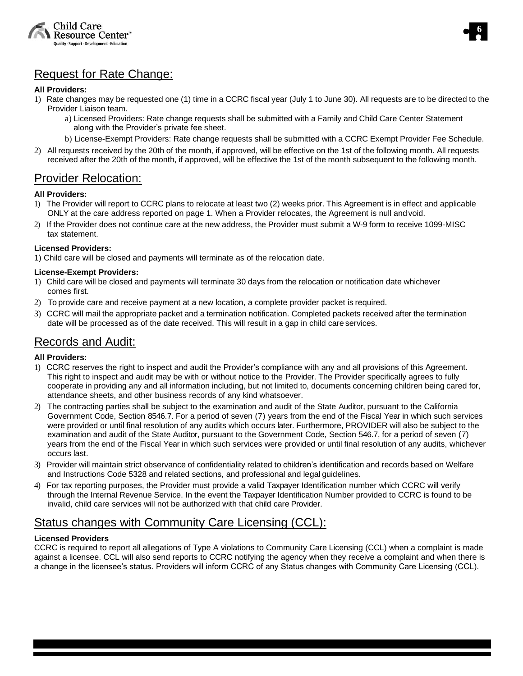![](_page_5_Picture_0.jpeg)

![](_page_5_Picture_1.jpeg)

## <span id="page-5-0"></span>Request for Rate Change:

## **All Providers:**

- 1) Rate changes may be requested one (1) time in a CCRC fiscal year (July 1 to June 30). All requests are to be directed to the Provider Liaison team.
	- a) Licensed Providers: Rate change requests shall be submitted with a Family and Child Care Center Statement along with the Provider's private fee sheet.
	- b) License-Exempt Providers: Rate change requests shall be submitted with a CCRC Exempt Provider Fee Schedule.
- 2) All requests received by the 20th of the month, if approved, will be effective on the 1st of the following month. All requests received after the 20th of the month, if approved, will be effective the 1st of the month subsequent to the following month.

## Provider Relocation:

## **All Providers:**

- 1) The Provider will report to CCRC plans to relocate at least two (2) weeks prior. This Agreement is in effect and applicable ONLY at the care address reported on page 1. When a Provider relocates, the Agreement is null and void.
- 2) If the Provider does not continue care at the new address, the Provider must submit a W-9 form to receive 1099-MISC tax statement.

## **Licensed Providers:**

1) Child care will be closed and payments will terminate as of the relocation date.

## **License-Exempt Providers:**

- 1) Child care will be closed and payments will terminate 30 days from the relocation or notification date whichever comes first.
- 2) To provide care and receive payment at a new location, a complete provider packet is required.
- 3) CCRC will mail the appropriate packet and a termination notification. Completed packets received after the termination date will be processed as of the date received. This will result in a gap in child care services.

## Records and Audit:

## **All Providers:**

- 1) CCRC reserves the right to inspect and audit the Provider's compliance with any and all provisions of this Agreement. This right to inspect and audit may be with or without notice to the Provider. The Provider specifically agrees to fully cooperate in providing any and all information including, but not limited to, documents concerning children being cared for, attendance sheets, and other business records of any kind whatsoever.
- 2) The contracting parties shall be subject to the examination and audit of the State Auditor, pursuant to the California Government Code, Section 8546.7. For a period of seven (7) years from the end of the Fiscal Year in which such services were provided or until final resolution of any audits which occurs later. Furthermore, PROVIDER will also be subject to the examination and audit of the State Auditor, pursuant to the Government Code, Section 546.7, for a period of seven (7) years from the end of the Fiscal Year in which such services were provided or until final resolution of any audits, whichever occurs last.
- 3) Provider will maintain strict observance of confidentiality related to children's identification and records based on Welfare and Instructions Code 5328 and related sections, and professional and legal guidelines.
- 4) For tax reporting purposes, the Provider must provide a valid Taxpayer Identification number which CCRC will verify through the Internal Revenue Service. In the event the Taxpayer Identification Number provided to CCRC is found to be invalid, child care services will not be authorized with that child care Provider.

## <span id="page-5-1"></span>Status changes with Community Care Licensing (CCL):

## **Licensed Providers**

CCRC is required to report all allegations of Type A violations to Community Care Licensing (CCL) when a complaint is made against a licensee. CCL will also send reports to CCRC notifying the agency when they receive a complaint and when there is a change in the licensee's status. Providers will inform CCRC of any Status changes with Community Care Licensing (CCL).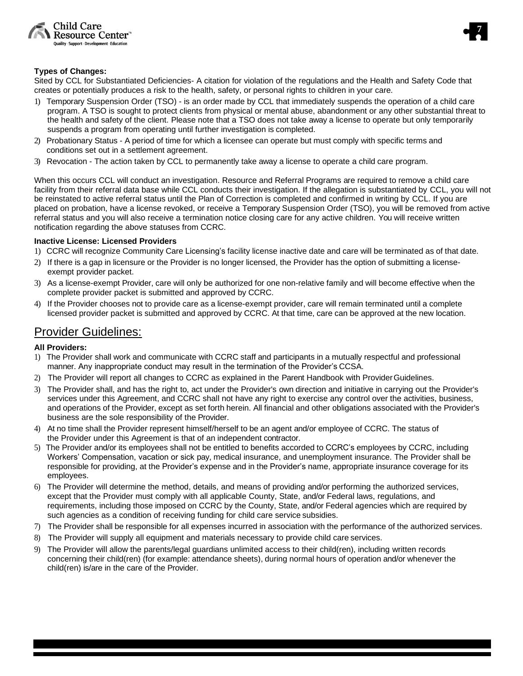![](_page_6_Picture_0.jpeg)

![](_page_6_Picture_1.jpeg)

### **Types of Changes:**

Sited by CCL for Substantiated Deficiencies- A citation for violation of the regulations and the Health and Safety Code that creates or potentially produces a risk to the health, safety, or personal rights to children in your care.

- 1) Temporary Suspension Order (TSO) is an order made by CCL that immediately suspends the operation of a child care program. A TSO is sought to protect clients from physical or mental abuse, abandonment or any other substantial threat to the health and safety of the client. Please note that a TSO does not take away a license to operate but only temporarily suspends a program from operating until further investigation is completed.
- 2) Probationary Status A period of time for which a licensee can operate but must comply with specific terms and conditions set out in a settlement agreement.
- 3) Revocation The action taken by CCL to permanently take away a license to operate a child care program.

When this occurs CCL will conduct an investigation. Resource and Referral Programs are required to remove a child care facility from their referral data base while CCL conducts their investigation. If the allegation is substantiated by CCL, you will not be reinstated to active referral status until the Plan of Correction is completed and confirmed in writing by CCL. If you are placed on probation, have a license revoked, or receive a Temporary Suspension Order (TSO), you will be removed from active referral status and you will also receive a termination notice closing care for any active children. You will receive written notification regarding the above statuses from CCRC.

### **Inactive License: Licensed Providers**

- 1) CCRC will recognize Community Care Licensing's facility license inactive date and care will be terminated as of that date.
- 2) If there is a gap in licensure or the Provider is no longer licensed, the Provider has the option of submitting a licenseexempt provider packet.
- 3) As a license-exempt Provider, care will only be authorized for one non-relative family and will become effective when the complete provider packet is submitted and approved by CCRC.
- 4) If the Provider chooses not to provide care as a license-exempt provider, care will remain terminated until a complete licensed provider packet is submitted and approved by CCRC. At that time, care can be approved at the new location.

## <span id="page-6-0"></span>Provider Guidelines:

## **All Providers:**

- 1) The Provider shall work and communicate with CCRC staff and participants in a mutually respectful and professional manner. Any inappropriate conduct may result in the termination of the Provider's CCSA.
- 2) The Provider will report all changes to CCRC as explained in the Parent Handbook with ProviderGuidelines.
- 3) The Provider shall, and has the right to, act under the Provider's own direction and initiative in carrying out the Provider's services under this Agreement, and CCRC shall not have any right to exercise any control over the activities, business, and operations of the Provider, except as set forth herein. All financial and other obligations associated with the Provider's business are the sole responsibility of the Provider.
- 4) At no time shall the Provider represent himself/herself to be an agent and/or employee of CCRC. The status of the Provider under this Agreement is that of an independent contractor.
- 5) The Provider and/or its employees shall not be entitled to benefits accorded to CCRC's employees by CCRC, including Workers' Compensation, vacation or sick pay, medical insurance, and unemployment insurance. The Provider shall be responsible for providing, at the Provider's expense and in the Provider's name, appropriate insurance coverage for its employees.
- 6) The Provider will determine the method, details, and means of providing and/or performing the authorized services, except that the Provider must comply with all applicable County, State, and/or Federal laws, regulations, and requirements, including those imposed on CCRC by the County, State, and/or Federal agencies which are required by such agencies as a condition of receiving funding for child care service subsidies.
- 7) The Provider shall be responsible for all expenses incurred in association with the performance of the authorized services.
- 8) The Provider will supply all equipment and materials necessary to provide child care services.
- 9) The Provider will allow the parents/legal guardians unlimited access to their child(ren), including written records concerning their child(ren) (for example: attendance sheets), during normal hours of operation and/or whenever the child(ren) is/are in the care of the Provider.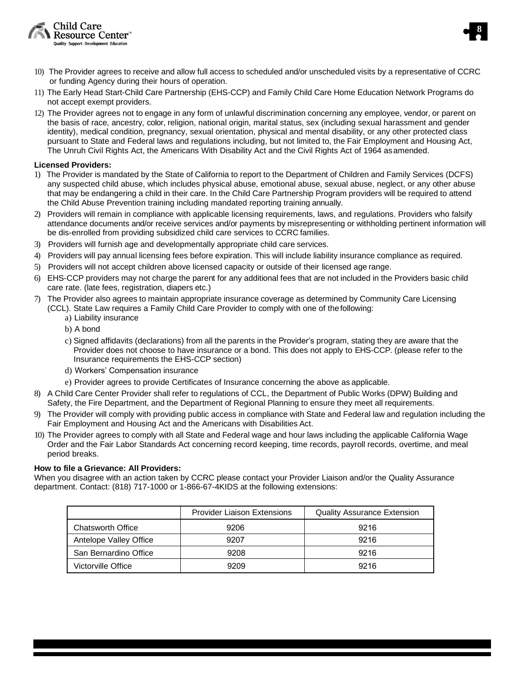![](_page_7_Picture_0.jpeg)

![](_page_7_Picture_1.jpeg)

- 10) The Provider agrees to receive and allow full access to scheduled and/or unscheduled visits by a representative of CCRC or funding Agency during their hours of operation.
- 11) The Early Head Start-Child Care Partnership (EHS-CCP) and Family Child Care Home Education Network Programs do not accept exempt providers.
- 12) The Provider agrees not to engage in any form of unlawful discrimination concerning any employee, vendor, or parent on the basis of race, ancestry, color, religion, national origin, marital status, sex (including sexual harassment and gender identity), medical condition, pregnancy, sexual orientation, physical and mental disability, or any other protected class pursuant to State and Federal laws and regulations including, but not limited to, the Fair Employment and Housing Act, The Unruh Civil Rights Act, the Americans With Disability Act and the Civil Rights Act of 1964 asamended.

### **Licensed Providers:**

- 1) The Provider is mandated by the State of California to report to the Department of Children and Family Services (DCFS) any suspected child abuse, which includes physical abuse, emotional abuse, sexual abuse, neglect, or any other abuse that may be endangering a child in their care. In the Child Care Partnership Program providers will be required to attend the Child Abuse Prevention training including mandated reporting training annually.
- 2) Providers will remain in compliance with applicable licensing requirements, laws, and regulations. Providers who falsify attendance documents and/or receive services and/or payments by misrepresenting or withholding pertinent information will be dis-enrolled from providing subsidized child care services to CCRC families.
- 3) Providers will furnish age and developmentally appropriate child care services.
- 4) Providers will pay annual licensing fees before expiration. This will include liability insurance compliance as required.
- 5) Providers will not accept children above licensed capacity or outside of their licensed age range.
- 6) EHS-CCP providers may not charge the parent for any additional fees that are not included in the Providers basic child care rate. (late fees, registration, diapers etc.)
- 7) The Provider also agrees to maintain appropriate insurance coverage as determined by Community Care Licensing (CCL). State Law requires a Family Child Care Provider to comply with one of thefollowing:
	- a) Liability insurance
	- b) A bond
	- c) Signed affidavits (declarations) from all the parents in the Provider's program, stating they are aware that the Provider does not choose to have insurance or a bond. This does not apply to EHS-CCP. (please refer to the Insurance requirements the EHS-CCP section)
	- d) Workers' Compensation insurance
	- e) Provider agrees to provide Certificates of Insurance concerning the above as applicable.
- 8) A Child Care Center Provider shall refer to regulations of CCL, the Department of Public Works (DPW) Building and Safety, the Fire Department, and the Department of Regional Planning to ensure they meet all requirements.
- 9) The Provider will comply with providing public access in compliance with State and Federal law and regulation including the Fair Employment and Housing Act and the Americans with Disabilities Act.
- 10) The Provider agrees to comply with all State and Federal wage and hour laws including the applicable California Wage Order and the Fair Labor Standards Act concerning record keeping, time records, payroll records, overtime, and meal period breaks.

#### **How to file a Grievance: All Providers:**

When you disagree with an action taken by CCRC please contact your Provider Liaison and/or the Quality Assurance department. Contact: (818) 717-1000 or 1-866-67-4KIDS at the following extensions:

|                          | <b>Provider Liaison Extensions</b> | <b>Quality Assurance Extension</b> |
|--------------------------|------------------------------------|------------------------------------|
| <b>Chatsworth Office</b> | 9206                               | 9216                               |
| Antelope Valley Office   | 9207                               | 9216                               |
| San Bernardino Office    | 9208                               | 9216                               |
| Victorville Office       | 9209                               | 9216                               |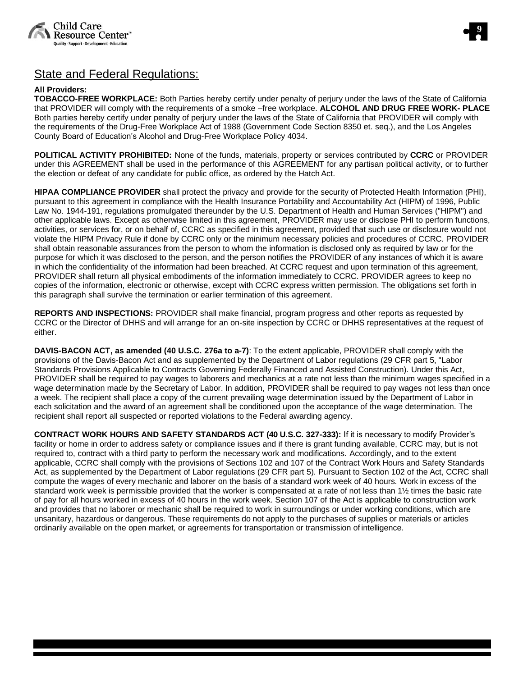![](_page_8_Picture_0.jpeg)

![](_page_8_Picture_1.jpeg)

## State and Federal Regulations:

## **All Providers:**

**TOBACCO-FREE WORKPLACE:** Both Parties hereby certify under penalty of perjury under the laws of the State of California that PROVIDER will comply with the requirements of a smoke –free workplace. **ALCOHOL AND DRUG FREE WORK- PLACE**  Both parties hereby certify under penalty of perjury under the laws of the State of California that PROVIDER will comply with the requirements of the Drug-Free Workplace Act of 1988 (Government Code Section 8350 et. seq.), and the Los Angeles County Board of Education's Alcohol and Drug-Free Workplace Policy 4034.

**POLITICAL ACTIVITY PROHIBITED:** None of the funds, materials, property or services contributed by **CCRC** or PROVIDER under this AGREEMENT shall be used in the performance of this AGREEMENT for any partisan political activity, or to further the election or defeat of any candidate for public office, as ordered by the Hatch Act.

**HIPAA COMPLIANCE PROVIDER** shall protect the privacy and provide for the security of Protected Health Information (PHI), pursuant to this agreement in compliance with the Health Insurance Portability and Accountability Act (HIPM) of 1996, Public Law No. 1944-191, regulations promulgated thereunder by the U.S. Department of Health and Human Services ("HIPM") and other applicable laws. Except as otherwise limited in this agreement, PROVIDER may use or disclose PHI to perform functions, activities, or services for, or on behalf of, CCRC as specified in this agreement, provided that such use or disclosure would not violate the HIPM Privacy Rule if done by CCRC only or the minimum necessary policies and procedures of CCRC. PROVIDER shall obtain reasonable assurances from the person to whom the information is disclosed only as required by law or for the purpose for which it was disclosed to the person, and the person notifies the PROVIDER of any instances of which it is aware in which the confidentiality of the information had been breached. At CCRC request and upon termination of this agreement, PROVIDER shall return all physical embodiments of the information immediately to CCRC. PROVIDER agrees to keep no copies of the information, electronic or otherwise, except with CCRC express written permission. The obligations set forth in this paragraph shall survive the termination or earlier termination of this agreement.

**REPORTS AND INSPECTIONS:** PROVIDER shall make financial, program progress and other reports as requested by CCRC or the Director of DHHS and will arrange for an on-site inspection by CCRC or DHHS representatives at the request of either.

**DAVIS-BACON ACT, as amended (40 U.S.C. 276a to a-7)**: To the extent applicable, PROVIDER shall comply with the provisions of the Davis-Bacon Act and as supplemented by the Department of Labor regulations (29 CFR part 5, "Labor Standards Provisions Applicable to Contracts Governing Federally Financed and Assisted Construction). Under this Act, PROVIDER shall be required to pay wages to laborers and mechanics at a rate not less than the minimum wages specified in a wage determination made by the Secretary of Labor. In addition, PROVIDER shall be required to pay wages not less than once a week. The recipient shall place a copy of the current prevailing wage determination issued by the Department of Labor in each solicitation and the award of an agreement shall be conditioned upon the acceptance of the wage determination. The recipient shall report all suspected or reported violations to the Federal awarding agency.

**CONTRACT WORK HOURS AND SAFETY STANDARDS ACT (40 U.S.C. 327-333):** If it is necessary to modify Provider's facility or home in order to address safety or compliance issues and if there is grant funding available, CCRC may, but is not required to, contract with a third party to perform the necessary work and modifications. Accordingly, and to the extent applicable, CCRC shall comply with the provisions of Sections 102 and 107 of the Contract Work Hours and Safety Standards Act, as supplemented by the Department of Labor regulations (29 CFR part 5). Pursuant to Section 102 of the Act, CCRC shall compute the wages of every mechanic and laborer on the basis of a standard work week of 40 hours. Work in excess of the standard work week is permissible provided that the worker is compensated at a rate of not less than 1½ times the basic rate of pay for all hours worked in excess of 40 hours in the work week. Section 107 of the Act is applicable to construction work and provides that no laborer or mechanic shall be required to work in surroundings or under working conditions, which are unsanitary, hazardous or dangerous. These requirements do not apply to the purchases of supplies or materials or articles ordinarily available on the open market, or agreements for transportation or transmission of intelligence.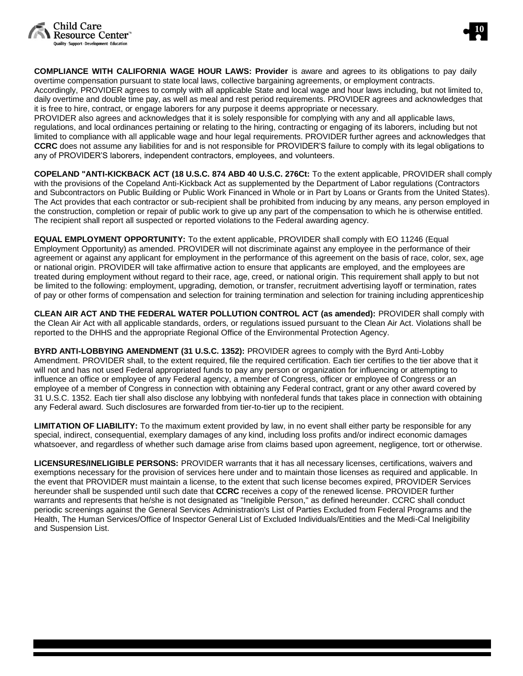![](_page_9_Picture_0.jpeg)

![](_page_9_Picture_1.jpeg)

**COMPLIANCE WITH CALIFORNIA WAGE HOUR LAWS: Provider** is aware and agrees to its obligations to pay daily overtime compensation pursuant to state local laws, collective bargaining agreements, or employment contracts.

Accordingly, PROVIDER agrees to comply with all applicable State and local wage and hour laws including, but not limited to, daily overtime and double time pay, as well as meal and rest period requirements. PROVIDER agrees and acknowledges that it is free to hire, contract, or engage laborers for any purpose it deems appropriate or necessary.

PROVIDER also agrees and acknowledges that it is solely responsible for complying with any and all applicable laws, regulations, and local ordinances pertaining or relating to the hiring, contracting or engaging of its laborers, including but not limited to compliance with all applicable wage and hour legal requirements. PROVIDER further agrees and acknowledges that **CCRC** does not assume any liabilities for and is not responsible for PROVIDER'S failure to comply with its legal obligations to any of PROVIDER'S laborers, independent contractors, employees, and volunteers.

**COPELAND "ANTI-KICKBACK ACT (18 U.S.C. 874 ABD 40 U.S.C. 276Ct:** To the extent applicable, PROVIDER shall comply with the provisions of the Copeland Anti-Kickback Act as supplemented by the Department of Labor regulations (Contractors and Subcontractors on Public Building or Public Work Financed in Whole or in Part by Loans or Grants from the United States). The Act provides that each contractor or sub-recipient shall be prohibited from inducing by any means, any person employed in the construction, completion or repair of public work to give up any part of the compensation to which he is otherwise entitled. The recipient shall report all suspected or reported violations to the Federal awarding agency.

**EQUAL EMPLOYMENT OPPORTUNITY:** To the extent applicable, PROVIDER shall comply with EO 11246 (Equal Employment Opportunity) as amended. PROVIDER will not discriminate against any employee in the performance of their agreement or against any applicant for employment in the performance of this agreement on the basis of race, color, sex, age or national origin. PROVIDER will take affirmative action to ensure that applicants are employed, and the employees are treated during employment without regard to their race, age, creed, or national origin. This requirement shall apply to but not be limited to the following: employment, upgrading, demotion, or transfer, recruitment advertising layoff or termination, rates of pay or other forms of compensation and selection for training termination and selection for training including apprenticeship

**CLEAN AIR ACT AND THE FEDERAL WATER POLLUTION CONTROL ACT (as amended):** PROVIDER shall comply with the Clean Air Act with all applicable standards, orders, or regulations issued pursuant to the Clean Air Act. Violations shall be reported to the DHHS and the appropriate Regional Office of the Environmental Protection Agency.

**BYRD ANTI-LOBBYING AMENDMENT (31 U.S.C. 1352):** PROVIDER agrees to comply with the Byrd Anti-Lobby Amendment. PROVIDER shall, to the extent required, file the required certification. Each tier certifies to the tier above that it will not and has not used Federal appropriated funds to pay any person or organization for influencing or attempting to influence an office or employee of any Federal agency, a member of Congress, officer or employee of Congress or an employee of a member of Congress in connection with obtaining any Federal contract, grant or any other award covered by 31 U.S.C. 1352. Each tier shall also disclose any lobbying with nonfederal funds that takes place in connection with obtaining any Federal award. Such disclosures are forwarded from tier-to-tier up to the recipient.

**LIMITATION OF LIABILITY:** To the maximum extent provided by law, in no event shall either party be responsible for any special, indirect, consequential, exemplary damages of any kind, including loss profits and/or indirect economic damages whatsoever, and regardless of whether such damage arise from claims based upon agreement, negligence, tort or otherwise.

**LICENSURES/INELIGIBLE PERSONS:** PROVIDER warrants that it has all necessary licenses, certifications, waivers and exemptions necessary for the provision of services here under and to maintain those licenses as required and applicable. In the event that PROVIDER must maintain a license, to the extent that such license becomes expired, PROVIDER Services hereunder shall be suspended until such date that **CCRC** receives a copy of the renewed license. PROVIDER further warrants and represents that he/she is not designated as "Ineligible Person," as defined hereunder. CCRC shall conduct periodic screenings against the General Services Administration's List of Parties Excluded from Federal Programs and the Health, The Human Services/Office of Inspector General List of Excluded Individuals/Entities and the Medi-Cal Ineligibility and Suspension List.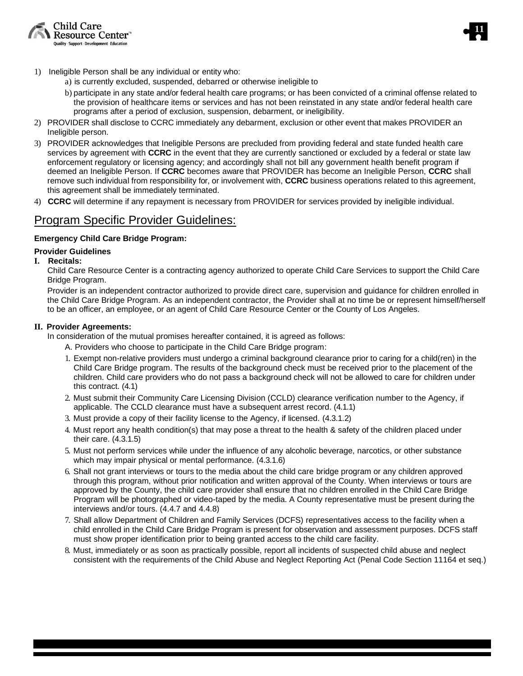![](_page_10_Picture_0.jpeg)

![](_page_10_Picture_1.jpeg)

- 1) Ineligible Person shall be any individual or entity who:
	- a) is currently excluded, suspended, debarred or otherwise ineligible to
	- b) participate in any state and/or federal health care programs; or has been convicted of a criminal offense related to the provision of healthcare items or services and has not been reinstated in any state and/or federal health care programs after a period of exclusion, suspension, debarment, or ineligibility.
- 2) PROVIDER shall disclose to CCRC immediately any debarment, exclusion or other event that makes PROVIDER an Ineligible person.
- 3) PROVIDER acknowledges that Ineligible Persons are precluded from providing federal and state funded health care services by agreement with **CCRC** in the event that they are currently sanctioned or excluded by a federal or state law enforcement regulatory or licensing agency; and accordingly shall not bill any government health benefit program if deemed an Ineligible Person. If **CCRC** becomes aware that PROVIDER has become an Ineligible Person, **CCRC** shall remove such individual from responsibility for, or involvement with, **CCRC** business operations related to this agreement, this agreement shall be immediately terminated.
- 4) **CCRC** will determine if any repayment is necessary from PROVIDER for services provided by ineligible individual.

## Program Specific Provider Guidelines:

## <span id="page-10-0"></span>**Emergency Child Care Bridge Program:**

## **Provider Guidelines**

## **I. Recitals:**

Child Care Resource Center is a contracting agency authorized to operate Child Care Services to support the Child Care Bridge Program.

Provider is an independent contractor authorized to provide direct care, supervision and guidance for children enrolled in the Child Care Bridge Program. As an independent contractor, the Provider shall at no time be or represent himself/herself to be an officer, an employee, or an agent of Child Care Resource Center or the County of Los Angeles.

## **II. Provider Agreements:**

In consideration of the mutual promises hereafter contained, it is agreed as follows:

- A. Providers who choose to participate in the Child Care Bridge program:
- 1. Exempt non-relative providers must undergo a criminal background clearance prior to caring for a child(ren) in the Child Care Bridge program. The results of the background check must be received prior to the placement of the children. Child care providers who do not pass a background check will not be allowed to care for children under this contract. (4.1)
- 2. Must submit their Community Care Licensing Division (CCLD) clearance verification number to the Agency, if applicable. The CCLD clearance must have a subsequent arrest record. (4.1.1)
- 3. Must provide a copy of their facility license to the Agency, if licensed. (4.3.1.2)
- 4. Must report any health condition(s) that may pose a threat to the health & safety of the children placed under their care. (4.3.1.5)
- 5. Must not perform services while under the influence of any alcoholic beverage, narcotics, or other substance which may impair physical or mental performance. (4.3.1.6)
- 6. Shall not grant interviews or tours to the media about the child care bridge program or any children approved through this program, without prior notification and written approval of the County. When interviews or tours are approved by the County, the child care provider shall ensure that no children enrolled in the Child Care Bridge Program will be photographed or video-taped by the media. A County representative must be present during the interviews and/or tours. (4.4.7 and 4.4.8)
- 7. Shall allow Department of Children and Family Services (DCFS) representatives access to the facility when a child enrolled in the Child Care Bridge Program is present for observation and assessment purposes. DCFS staff must show proper identification prior to being granted access to the child care facility.
- 8. Must, immediately or as soon as practically possible, report all incidents of suspected child abuse and neglect consistent with the requirements of the Child Abuse and Neglect Reporting Act (Penal Code Section 11164 et seq.)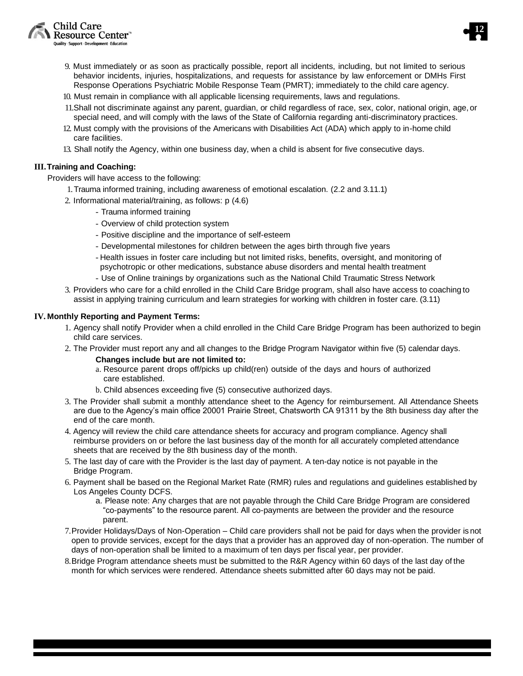![](_page_11_Picture_0.jpeg)

![](_page_11_Picture_1.jpeg)

- 9. Must immediately or as soon as practically possible, report all incidents, including, but not limited to serious behavior incidents, injuries, hospitalizations, and requests for assistance by law enforcement or DMHs First Response Operations Psychiatric Mobile Response Team (PMRT); immediately to the child care agency.
- 10. Must remain in compliance with all applicable licensing requirements, laws and regulations.
- 11.Shall not discriminate against any parent, guardian, or child regardless of race, sex, color, national origin, age, or special need, and will comply with the laws of the State of California regarding anti-discriminatory practices.
- 12. Must comply with the provisions of the Americans with Disabilities Act (ADA) which apply to in-home child care facilities.
- 13. Shall notify the Agency, within one business day, when a child is absent for five consecutive days.

## **III.Training and Coaching:**

Providers will have access to the following:

- 1.Trauma informed training, including awareness of emotional escalation. (2.2 and 3.11.1)
- 2. Informational material/training, as follows: p (4.6)
	- Trauma informed training
	- Overview of child protection system
	- Positive discipline and the importance of self-esteem
	- Developmental milestones for children between the ages birth through five years
	- Health issues in foster care including but not limited risks, benefits, oversight, and monitoring of psychotropic or other medications, substance abuse disorders and mental health treatment
	- Use of Online trainings by organizations such as the National Child Traumatic Stress Network
- 3. Providers who care for a child enrolled in the Child Care Bridge program, shall also have access to coaching to assist in applying training curriculum and learn strategies for working with children in foster care. (3.11)

### **IV. Monthly Reporting and Payment Terms:**

- 1. Agency shall notify Provider when a child enrolled in the Child Care Bridge Program has been authorized to begin child care services.
- 2. The Provider must report any and all changes to the Bridge Program Navigator within five (5) calendar days.
	- **Changes include but are not limited to:**
	- a. Resource parent drops off/picks up child(ren) outside of the days and hours of authorized care established.
	- b. Child absences exceeding five (5) consecutive authorized days.
- 3. The Provider shall submit a monthly attendance sheet to the Agency for reimbursement. All Attendance Sheets are due to the Agency's main office 20001 Prairie Street, Chatsworth CA 91311 by the 8th business day after the end of the care month.
- 4. Agency will review the child care attendance sheets for accuracy and program compliance. Agency shall reimburse providers on or before the last business day of the month for all accurately completed attendance sheets that are received by the 8th business day of the month.
- 5. The last day of care with the Provider is the last day of payment. A ten-day notice is not payable in the Bridge Program.
- 6. Payment shall be based on the Regional Market Rate (RMR) rules and regulations and guidelines established by Los Angeles County DCFS.
	- a. Please note: Any charges that are not payable through the Child Care Bridge Program are considered "co-payments" to the resource parent. All co-payments are between the provider and the resource parent.
- 7.Provider Holidays/Days of Non-Operation Child care providers shall not be paid for days when the provider is not open to provide services, except for the days that a provider has an approved day of non-operation. The number of days of non-operation shall be limited to a maximum of ten days per fiscal year, per provider.
- 8.Bridge Program attendance sheets must be submitted to the R&R Agency within 60 days of the last day of the month for which services were rendered. Attendance sheets submitted after 60 days may not be paid.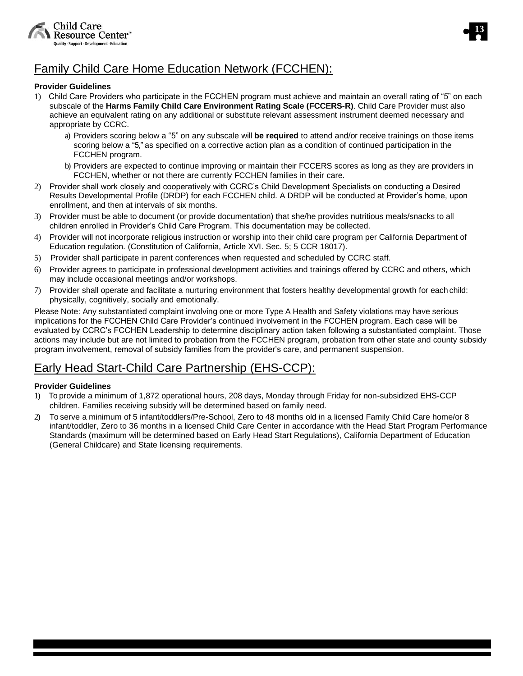![](_page_12_Picture_0.jpeg)

![](_page_12_Picture_1.jpeg)

## <span id="page-12-0"></span>Family Child Care Home Education Network (FCCHEN):

## **Provider Guidelines**

- 1) Child Care Providers who participate in the FCCHEN program must achieve and maintain an overall rating of "5" on each subscale of the **Harms Family Child Care Environment Rating Scale (FCCERS-R)**. Child Care Provider must also achieve an equivalent rating on any additional or substitute relevant assessment instrument deemed necessary and appropriate by CCRC.
	- a) Providers scoring below a "5" on any subscale will **be required** to attend and/or receive trainings on those items scoring below a "5," as specified on a corrective action plan as a condition of continued participation in the FCCHEN program.
	- b) Providers are expected to continue improving or maintain their FCCERS scores as long as they are providers in FCCHEN, whether or not there are currently FCCHEN families in their care.
- 2) Provider shall work closely and cooperatively with CCRC's Child Development Specialists on conducting a Desired Results Developmental Profile (DRDP) for each FCCHEN child. A DRDP will be conducted at Provider's home, upon enrollment, and then at intervals of six months.
- 3) Provider must be able to document (or provide documentation) that she/he provides nutritious meals/snacks to all children enrolled in Provider's Child Care Program. This documentation may be collected.
- 4) Provider will not incorporate religious instruction or worship into their child care program per California Department of Education regulation. (Constitution of California, Article XVI. Sec. 5; 5 CCR 18017).
- 5) Provider shall participate in parent conferences when requested and scheduled by CCRC staff.
- 6) Provider agrees to participate in professional development activities and trainings offered by CCRC and others, which may include occasional meetings and/or workshops.
- 7) Provider shall operate and facilitate a nurturing environment that fosters healthy developmental growth for each child: physically, cognitively, socially and emotionally.

Please Note: Any substantiated complaint involving one or more Type A Health and Safety violations may have serious implications for the FCCHEN Child Care Provider's continued involvement in the FCCHEN program. Each case will be evaluated by CCRC's FCCHEN Leadership to determine disciplinary action taken following a substantiated complaint. Those actions may include but are not limited to probation from the FCCHEN program, probation from other state and county subsidy program involvement, removal of subsidy families from the provider's care, and permanent suspension.

## <span id="page-12-1"></span>Early Head Start-Child Care Partnership (EHS-CCP):

## **Provider Guidelines**

- 1) To provide a minimum of 1,872 operational hours, 208 days, Monday through Friday for non-subsidized EHS-CCP children. Families receiving subsidy will be determined based on family need.
- 2) To serve a minimum of 5 infant/toddlers/Pre-School, Zero to 48 months old in a licensed Family Child Care home/or 8 infant/toddler, Zero to 36 months in a licensed Child Care Center in accordance with the Head Start Program Performance Standards (maximum will be determined based on Early Head Start Regulations), California Department of Education (General Childcare) and State licensing requirements.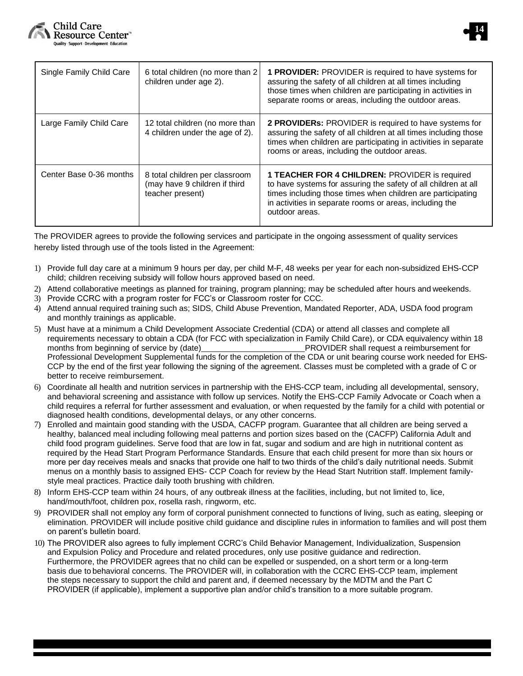![](_page_13_Picture_0.jpeg)

![](_page_13_Picture_1.jpeg)

| Single Family Child Care | 6 total children (no more than 2<br>children under age 2).                          | <b>1 PROVIDER:</b> PROVIDER is required to have systems for<br>assuring the safety of all children at all times including<br>those times when children are participating in activities in<br>separate rooms or areas, including the outdoor areas.                  |
|--------------------------|-------------------------------------------------------------------------------------|---------------------------------------------------------------------------------------------------------------------------------------------------------------------------------------------------------------------------------------------------------------------|
| Large Family Child Care  | 12 total children (no more than<br>4 children under the age of 2).                  | 2 PROVIDERs: PROVIDER is required to have systems for<br>assuring the safety of all children at all times including those<br>times when children are participating in activities in separate<br>rooms or areas, including the outdoor areas.                        |
| Center Base 0-36 months  | 8 total children per classroom<br>(may have 9 children if third<br>teacher present) | <b>1 TEACHER FOR 4 CHILDREN: PROVIDER is required</b><br>to have systems for assuring the safety of all children at all<br>times including those times when children are participating<br>in activities in separate rooms or areas, including the<br>outdoor areas. |

The PROVIDER agrees to provide the following services and participate in the ongoing assessment of quality services hereby listed through use of the tools listed in the Agreement:

- 1) Provide full day care at a minimum 9 hours per day, per child M-F, 48 weeks per year for each non-subsidized EHS-CCP child; children receiving subsidy will follow hours approved based on need.
- 2) Attend collaborative meetings as planned for training, program planning; may be scheduled after hours and weekends.
- 3) Provide CCRC with a program roster for FCC's or Classroom roster for CCC.
- 4) Attend annual required training such as; SIDS, Child Abuse Prevention, Mandated Reporter, ADA, USDA food program and monthly trainings as applicable.
- 5) Must have at a minimum a Child Development Associate Credential (CDA) or attend all classes and complete all requirements necessary to obtain a CDA (for FCC with specialization in Family Child Care), or CDA equivalency within 18 months from beginning of service by (date) **PROVIDER** shall request a reimbursement for Professional Development Supplemental funds for the completion of the CDA or unit bearing course work needed for EHS-CCP by the end of the first year following the signing of the agreement. Classes must be completed with a grade of C or better to receive reimbursement.
- 6) Coordinate all health and nutrition services in partnership with the EHS-CCP team, including all developmental, sensory, and behavioral screening and assistance with follow up services. Notify the EHS-CCP Family Advocate or Coach when a child requires a referral for further assessment and evaluation, or when requested by the family for a child with potential or diagnosed health conditions, developmental delays, or any other concerns.
- 7) Enrolled and maintain good standing with the USDA, CACFP program. Guarantee that all children are being served a healthy, balanced meal including following meal patterns and portion sizes based on the (CACFP) California Adult and child food program guidelines. Serve food that are low in fat, sugar and sodium and are high in nutritional content as required by the Head Start Program Performance Standards. Ensure that each child present for more than six hours or more per day receives meals and snacks that provide one half to two thirds of the child's daily nutritional needs. Submit menus on a monthly basis to assigned EHS- CCP Coach for review by the Head Start Nutrition staff. Implement familystyle meal practices. Practice daily tooth brushing with children.
- 8) Inform EHS-CCP team within 24 hours, of any outbreak illness at the facilities, including, but not limited to, lice, hand/mouth/foot, children pox, rosella rash, ringworm, etc.
- 9) PROVIDER shall not employ any form of corporal punishment connected to functions of living, such as eating, sleeping or elimination. PROVIDER will include positive child guidance and discipline rules in information to families and will post them on parent's bulletin board.
- 10) The PROVIDER also agrees to fully implement CCRC's Child Behavior Management, Individualization, Suspension and Expulsion Policy and Procedure and related procedures, only use positive guidance and redirection. Furthermore, the PROVIDER agrees that no child can be expelled or suspended, on a short term or a long-term basis due to behavioral concerns. The PROVIDER will, in collaboration with the CCRC EHS-CCP team, implement the steps necessary to support the child and parent and, if deemed necessary by the MDTM and the Part C PROVIDER (if applicable), implement a supportive plan and/or child's transition to a more suitable program.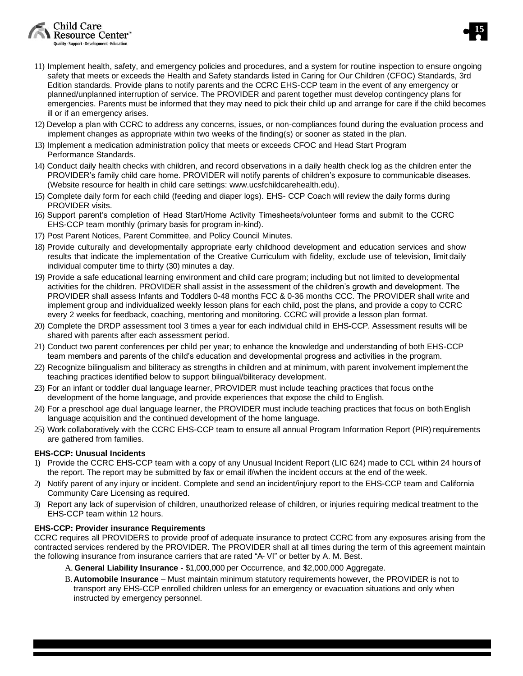Child Care Resource Center" Quality - Support - Development - Education

- **15**
- 11) Implement health, safety, and emergency policies and procedures, and a system for routine inspection to ensure ongoing safety that meets or exceeds the Health and Safety standards listed in Caring for Our Children (CFOC) Standards, 3rd Edition standards. Provide plans to notify parents and the CCRC EHS-CCP team in the event of any emergency or planned/unplanned interruption of service. The PROVIDER and parent together must develop contingency plans for emergencies. Parents must be informed that they may need to pick their child up and arrange for care if the child becomes ill or if an emergency arises.
- 12) Develop a plan with CCRC to address any concerns, issues, or non-compliances found during the evaluation process and implement changes as appropriate within two weeks of the finding(s) or sooner as stated in the plan.
- 13) Implement a medication administration policy that meets or exceeds CFOC and Head Start Program Performance Standards.
- 14) Conduct daily health checks with children, and record observations in a daily health check log as the children enter the PROVIDER's family child care home. PROVIDER will notify parents of children's exposure to communicable diseases. (Website resource for health in child care settings: www.ucsfchildcarehealth.edu).
- 15) Complete daily form for each child (feeding and diaper logs). EHS- CCP Coach will review the daily forms during PROVIDER visits.
- 16) Support parent's completion of Head Start/Home Activity Timesheets/volunteer forms and submit to the CCRC EHS-CCP team monthly (primary basis for program in-kind).
- 17) Post Parent Notices, Parent Committee, and Policy Council Minutes.
- 18) Provide culturally and developmentally appropriate early childhood development and education services and show results that indicate the implementation of the Creative Curriculum with fidelity, exclude use of television, limit daily individual computer time to thirty (30) minutes a day.
- 19) Provide a safe educational learning environment and child care program; including but not limited to developmental activities for the children. PROVIDER shall assist in the assessment of the children's growth and development. The PROVIDER shall assess Infants and Toddlers 0-48 months FCC & 0-36 months CCC. The PROVIDER shall write and implement group and individualized weekly lesson plans for each child, post the plans, and provide a copy to CCRC every 2 weeks for feedback, coaching, mentoring and monitoring. CCRC will provide a lesson plan format.
- 20) Complete the DRDP assessment tool 3 times a year for each individual child in EHS-CCP. Assessment results will be shared with parents after each assessment period.
- 21) Conduct two parent conferences per child per year; to enhance the knowledge and understanding of both EHS-CCP team members and parents of the child's education and developmental progress and activities in the program.
- 22) Recognize bilingualism and biliteracy as strengths in children and at minimum, with parent involvement implement the teaching practices identified below to support bilingual/biliteracy development.
- 23) For an infant or toddler dual language learner, PROVIDER must include teaching practices that focus onthe development of the home language, and provide experiences that expose the child to English.
- 24) For a preschool age dual language learner, the PROVIDER must include teaching practices that focus on bothEnglish language acquisition and the continued development of the home language.
- 25) Work collaboratively with the CCRC EHS-CCP team to ensure all annual Program Information Report (PIR) requirements are gathered from families.

## **EHS-CCP: Unusual Incidents**

- 1) Provide the CCRC EHS-CCP team with a copy of any Unusual Incident Report (LIC 624) made to CCL within 24 hours of the report. The report may be submitted by fax or email if/when the incident occurs at the end of the week.
- 2) Notify parent of any injury or incident. Complete and send an incident/injury report to the EHS-CCP team and California Community Care Licensing as required.
- 3) Report any lack of supervision of children, unauthorized release of children, or injuries requiring medical treatment to the EHS-CCP team within 12 hours.

## **EHS-CCP: Provider insurance Requirements**

CCRC requires all PROVIDERS to provide proof of adequate insurance to protect CCRC from any exposures arising from the contracted services rendered by the PROVIDER. The PROVIDER shall at all times during the term of this agreement maintain the following insurance from insurance carriers that are rated "A- VI" or better by A. M. Best.

- A. **General Liability Insurance**  \$1,000,000 per Occurrence, and \$2,000,000 Aggregate.
- B.**Automobile Insurance** Must maintain minimum statutory requirements however, the PROVIDER is not to transport any EHS-CCP enrolled children unless for an emergency or evacuation situations and only when instructed by emergency personnel.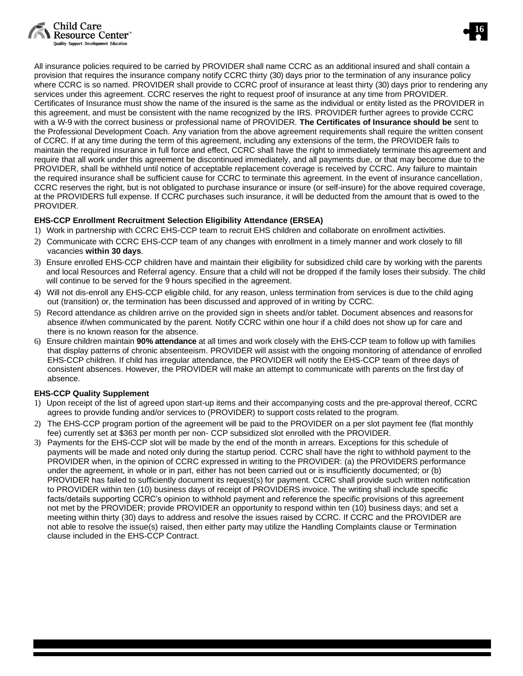![](_page_15_Picture_0.jpeg)

![](_page_15_Picture_1.jpeg)

All insurance policies required to be carried by PROVIDER shall name CCRC as an additional insured and shall contain a provision that requires the insurance company notify CCRC thirty (30) days prior to the termination of any insurance policy where CCRC is so named. PROVIDER shall provide to CCRC proof of insurance at least thirty (30) days prior to rendering any services under this agreement. CCRC reserves the right to request proof of insurance at any time from PROVIDER. Certificates of Insurance must show the name of the insured is the same as the individual or entity listed as the PROVIDER in this agreement, and must be consistent with the name recognized by the IRS. PROVIDER further agrees to provide CCRC with a W-9 with the correct business or professional name of PROVIDER. **The Certificates of Insurance should be** sent to the Professional Development Coach. Any variation from the above agreement requirements shall require the written consent of CCRC. If at any time during the term of this agreement, including any extensions of the term, the PROVIDER fails to maintain the required insurance in full force and effect, CCRC shall have the right to immediately terminate this agreement and require that all work under this agreement be discontinued immediately, and all payments due, or that may become due to the PROVIDER, shall be withheld until notice of acceptable replacement coverage is received by CCRC. Any failure to maintain the required insurance shall be sufficient cause for CCRC to terminate this agreement. In the event of insurance cancellation, CCRC reserves the right, but is not obligated to purchase insurance or insure (or self-insure) for the above required coverage, at the PROVIDERS full expense. If CCRC purchases such insurance, it will be deducted from the amount that is owed to the PROVIDER.

## **EHS-CCP Enrollment Recruitment Selection Eligibility Attendance (ERSEA)**

- 1) Work in partnership with CCRC EHS-CCP team to recruit EHS children and collaborate on enrollment activities.
- 2) Communicate with CCRC EHS-CCP team of any changes with enrollment in a timely manner and work closely to fill vacancies **within 30 days**.
- 3) Ensure enrolled EHS-CCP children have and maintain their eligibility for subsidized child care by working with the parents and local Resources and Referral agency. Ensure that a child will not be dropped if the family loses their subsidy. The child will continue to be served for the 9 hours specified in the agreement.
- 4) Will not dis-enroll any EHS-CCP eligible child, for any reason, unless termination from services is due to the child aging out (transition) or, the termination has been discussed and approved of in writing by CCRC.
- 5) Record attendance as children arrive on the provided sign in sheets and/or tablet. Document absences and reasons for absence if/when communicated by the parent. Notify CCRC within one hour if a child does not show up for care and there is no known reason for the absence.
- 6) Ensure children maintain **90% attendance** at all times and work closely with the EHS-CCP team to follow up with families that display patterns of chronic absenteeism. PROVIDER will assist with the ongoing monitoring of attendance of enrolled EHS-CCP children. If child has irregular attendance, the PROVIDER will notify the EHS-CCP team of three days of consistent absences. However, the PROVIDER will make an attempt to communicate with parents on the first day of absence.

## **EHS-CCP Quality Supplement**

- 1) Upon receipt of the list of agreed upon start-up items and their accompanying costs and the pre-approval thereof, CCRC agrees to provide funding and/or services to (PROVIDER) to support costs related to the program.
- 2) The EHS-CCP program portion of the agreement will be paid to the PROVIDER on a per slot payment fee (flat monthly fee) currently set at \$363 per month per non- CCP subsidized slot enrolled with the PROVIDER.
- 3) Payments for the EHS-CCP slot will be made by the end of the month in arrears. Exceptions for this schedule of payments will be made and noted only during the startup period. CCRC shall have the right to withhold payment to the PROVIDER when, in the opinion of CCRC expressed in writing to the PROVIDER: (a) the PROVIDERS performance under the agreement, in whole or in part, either has not been carried out or is insufficiently documented; or (b) PROVIDER has failed to sufficiently document its request(s) for payment. CCRC shall provide such written notification to PROVIDER within ten (10) business days of receipt of PROVIDERS invoice. The writing shall include specific facts/details supporting CCRC's opinion to withhold payment and reference the specific provisions of this agreement not met by the PROVIDER; provide PROVIDER an opportunity to respond within ten (10) business days; and set a meeting within thirty (30) days to address and resolve the issues raised by CCRC. If CCRC and the PROVIDER are not able to resolve the issue(s) raised, then either party may utilize the Handling Complaints clause or Termination clause included in the EHS-CCP Contract.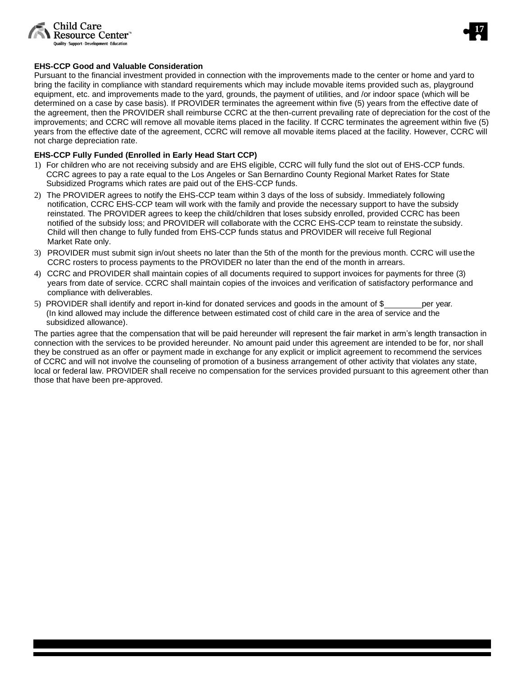![](_page_16_Picture_0.jpeg)

![](_page_16_Picture_1.jpeg)

### **EHS-CCP Good and Valuable Consideration**

Pursuant to the financial investment provided in connection with the improvements made to the center or home and yard to bring the facility in compliance with standard requirements which may include movable items provided such as, playground equipment, etc. and improvements made to the yard, grounds, the payment of utilities, and /or indoor space (which will be determined on a case by case basis). If PROVIDER terminates the agreement within five (5) years from the effective date of the agreement, then the PROVIDER shall reimburse CCRC at the then-current prevailing rate of depreciation for the cost of the improvements; and CCRC will remove all movable items placed in the facility. If CCRC terminates the agreement within five (5) years from the effective date of the agreement, CCRC will remove all movable items placed at the facility. However, CCRC will not charge depreciation rate.

### **EHS-CCP Fully Funded (Enrolled in Early Head Start CCP)**

- 1) For children who are not receiving subsidy and are EHS eligible, CCRC will fully fund the slot out of EHS-CCP funds. CCRC agrees to pay a rate equal to the Los Angeles or San Bernardino County Regional Market Rates for State Subsidized Programs which rates are paid out of the EHS-CCP funds.
- 2) The PROVIDER agrees to notify the EHS-CCP team within 3 days of the loss of subsidy. Immediately following notification, CCRC EHS-CCP team will work with the family and provide the necessary support to have the subsidy reinstated. The PROVIDER agrees to keep the child/children that loses subsidy enrolled, provided CCRC has been notified of the subsidy loss; and PROVIDER will collaborate with the CCRC EHS-CCP team to reinstate the subsidy. Child will then change to fully funded from EHS-CCP funds status and PROVIDER will receive full Regional Market Rate only.
- 3) PROVIDER must submit sign in/out sheets no later than the 5th of the month for the previous month. CCRC will use the CCRC rosters to process payments to the PROVIDER no later than the end of the month in arrears.
- 4) CCRC and PROVIDER shall maintain copies of all documents required to support invoices for payments for three (3) years from date of service. CCRC shall maintain copies of the invoices and verification of satisfactory performance and compliance with deliverables.
- 5) PROVIDER shall identify and report in-kind for donated services and goods in the amount of \$ per year. (In kind allowed may include the difference between estimated cost of child care in the area of service and the subsidized allowance).

The parties agree that the compensation that will be paid hereunder will represent the fair market in arm's length transaction in connection with the services to be provided hereunder. No amount paid under this agreement are intended to be for, nor shall they be construed as an offer or payment made in exchange for any explicit or implicit agreement to recommend the services of CCRC and will not involve the counseling of promotion of a business arrangement of other activity that violates any state, local or federal law. PROVIDER shall receive no compensation for the services provided pursuant to this agreement other than those that have been pre-approved.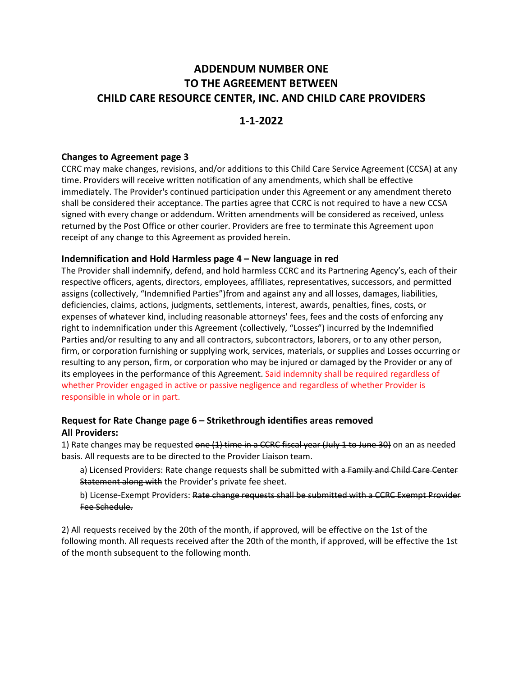## **ADDENDUM NUMBER ONE TO THE AGREEMENT BETWEEN CHILD CARE RESOURCE CENTER, INC. AND CHILD CARE PROVIDERS**

## **1-1-2022**

## **Changes to Agreement page 3**

CCRC may make changes, revisions, and/or additions to this Child Care Service Agreement (CCSA) at any time. Providers will receive written notification of any amendments, which shall be effective immediately. The Provider's continued participation under this Agreement or any amendment thereto shall be considered their acceptance. The parties agree that CCRC is not required to have a new CCSA signed with every change or addendum. Written amendments will be considered as received, unless returned by the Post Office or other courier. Providers are free to terminate this Agreement upon receipt of any change to this Agreement as provided herein.

## **Indemnification and Hold Harmless page 4 – New language in red**

The Provider shall indemnify, defend, and hold harmless CCRC and its Partnering Agency's, each of their respective officers, agents, directors, employees, affiliates, representatives, successors, and permitted assigns (collectively, "Indemnified Parties")from and against any and all losses, damages, liabilities, deficiencies, claims, actions, judgments, settlements, interest, awards, penalties, fines, costs, or expenses of whatever kind, including reasonable attorneys' fees, fees and the costs of enforcing any right to indemnification under this Agreement (collectively, "Losses") incurred by the Indemnified Parties and/or resulting to any and all contractors, subcontractors, laborers, or to any other person, firm, or corporation furnishing or supplying work, services, materials, or supplies and Losses occurring or resulting to any person, firm, or corporation who may be injured or damaged by the Provider or any of its employees in the performance of this Agreement. Said indemnity shall be required regardless of whether Provider engaged in active or passive negligence and regardless of whether Provider is responsible in whole or in part.

## **Request for Rate Change page 6 – Strikethrough identifies areas removed All Providers:**

1) Rate changes may be requested one  $(1)$  time in a CCRC fiscal year (July 1 to June 30) on an as needed basis. All requests are to be directed to the Provider Liaison team.

a) Licensed Providers: Rate change requests shall be submitted with a Family and Child Care Center Statement along with the Provider's private fee sheet.

b) License-Exempt Providers: Rate change requests shall be submitted with a CCRC Exempt Provider Fee Schedule.

2) All requests received by the 20th of the month, if approved, will be effective on the 1st of the following month. All requests received after the 20th of the month, if approved, will be effective the 1st of the month subsequent to the following month.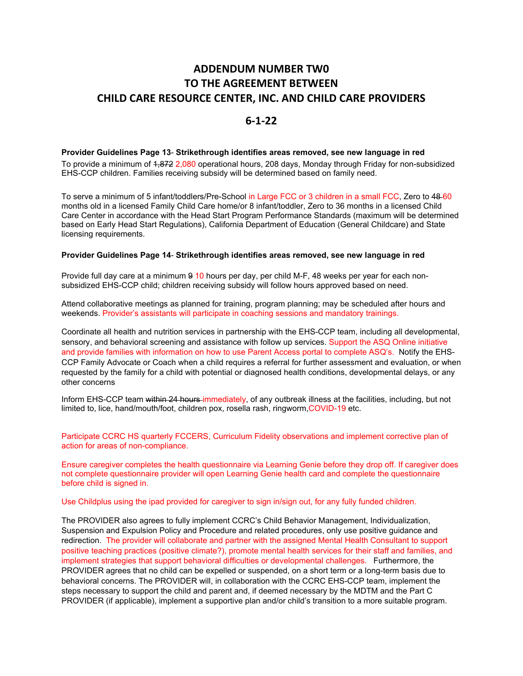## **ADDENDUM NUMBER TW0 TO THE AGREEMENT BETWEEN CHILD CARE RESOURCE CENTER, INC. AND CHILD CARE PROVIDERS**

## **6-1-22**

### **Provider Guidelines Page 13**- **Strikethrough identifies areas removed, see new language in red**

To provide a minimum of 4,872 2,080 operational hours, 208 days, Monday through Friday for non-subsidized EHS-CCP children. Families receiving subsidy will be determined based on family need.

To serve a minimum of 5 infant/toddlers/Pre-School in Large FCC or 3 children in a small FCC, Zero to 48-60 months old in a licensed Family Child Care home/or 8 infant/toddler, Zero to 36 months in a licensed Child Care Center in accordance with the Head Start Program Performance Standards (maximum will be determined based on Early Head Start Regulations), California Department of Education (General Childcare) and State licensing requirements.

#### **Provider Guidelines Page 14**- **Strikethrough identifies areas removed, see new language in red**

Provide full day care at a minimum 9 10 hours per day, per child M-F, 48 weeks per year for each nonsubsidized EHS-CCP child; children receiving subsidy will follow hours approved based on need.

Attend collaborative meetings as planned for training, program planning; may be scheduled after hours and weekends. Provider's assistants will participate in coaching sessions and mandatory trainings.

Coordinate all health and nutrition services in partnership with the EHS-CCP team, including all developmental, sensory, and behavioral screening and assistance with follow up services. Support the ASQ Online initiative and provide families with information on how to use Parent Access portal to complete ASQ's. Notify the EHS-CCP Family Advocate or Coach when a child requires a referral for further assessment and evaluation, or when requested by the family for a child with potential or diagnosed health conditions, developmental delays, or any other concerns

Inform EHS-CCP team within 24 hours immediately, of any outbreak illness at the facilities, including, but not limited to, lice, hand/mouth/foot, children pox, rosella rash, ringworm,COVID-19 etc.

Participate CCRC HS quarterly FCCERS, Curriculum Fidelity observations and implement corrective plan of action for areas of non-compliance.

Ensure caregiver completes the health questionnaire via Learning Genie before they drop off. If caregiver does not complete questionnaire provider will open Learning Genie health card and complete the questionnaire before child is signed in.

Use Childplus using the ipad provided for caregiver to sign in/sign out, for any fully funded children.

The PROVIDER also agrees to fully implement CCRC's Child Behavior Management, Individualization, Suspension and Expulsion Policy and Procedure and related procedures, only use positive guidance and redirection. The provider will collaborate and partner with the assigned Mental Health Consultant to support positive teaching practices (positive climate?), promote mental health services for their staff and families, and implement strategies that support behavioral difficulties or developmental challenges. Furthermore, the PROVIDER agrees that no child can be expelled or suspended, on a short term or a long-term basis due to behavioral concerns. The PROVIDER will, in collaboration with the CCRC EHS-CCP team, implement the steps necessary to support the child and parent and, if deemed necessary by the MDTM and the Part C PROVIDER (if applicable), implement a supportive plan and/or child's transition to a more suitable program.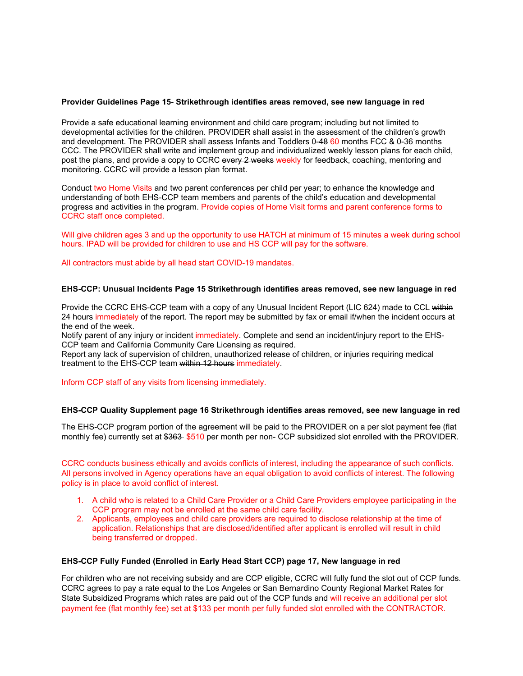### **Provider Guidelines Page 15**- **Strikethrough identifies areas removed, see new language in red**

Provide a safe educational learning environment and child care program; including but not limited to developmental activities for the children. PROVIDER shall assist in the assessment of the children's growth and development. The PROVIDER shall assess Infants and Toddlers 0-48 60 months FCC & 0-36 months CCC. The PROVIDER shall write and implement group and individualized weekly lesson plans for each child, post the plans, and provide a copy to CCRC every 2 weeks weekly for feedback, coaching, mentoring and monitoring. CCRC will provide a lesson plan format.

Conduct two Home Visits and two parent conferences per child per year; to enhance the knowledge and understanding of both EHS-CCP team members and parents of the child's education and developmental progress and activities in the program. Provide copies of Home Visit forms and parent conference forms to CCRC staff once completed.

Will give children ages 3 and up the opportunity to use HATCH at minimum of 15 minutes a week during school hours. IPAD will be provided for children to use and HS CCP will pay for the software.

All contractors must abide by all head start COVID-19 mandates.

### **EHS-CCP: Unusual Incidents Page 15 Strikethrough identifies areas removed, see new language in red**

Provide the CCRC EHS-CCP team with a copy of any Unusual Incident Report (LIC 624) made to CCL within 24 hours immediately of the report. The report may be submitted by fax or email if/when the incident occurs at the end of the week.

Notify parent of any injury or incident immediately. Complete and send an incident/injury report to the EHS-CCP team and California Community Care Licensing as required.

Report any lack of supervision of children, unauthorized release of children, or injuries requiring medical treatment to the EHS-CCP team within 12 hours immediately.

#### Inform CCP staff of any visits from licensing immediately.

#### **EHS-CCP Quality Supplement page 16 Strikethrough identifies areas removed, see new language in red**

The EHS-CCP program portion of the agreement will be paid to the PROVIDER on a per slot payment fee (flat monthly fee) currently set at \$363-\$510 per month per non- CCP subsidized slot enrolled with the PROVIDER.

CCRC conducts business ethically and avoids conflicts of interest, including the appearance of such conflicts. All persons involved in Agency operations have an equal obligation to avoid conflicts of interest. The following policy is in place to avoid conflict of interest.

- 1. A child who is related to a Child Care Provider or a Child Care Providers employee participating in the CCP program may not be enrolled at the same child care facility.
- 2. Applicants, employees and child care providers are required to disclose relationship at the time of application. Relationships that are disclosed/identified after applicant is enrolled will result in child being transferred or dropped.

### **EHS-CCP Fully Funded (Enrolled in Early Head Start CCP) page 17, New language in red**

For children who are not receiving subsidy and are CCP eligible, CCRC will fully fund the slot out of CCP funds. CCRC agrees to pay a rate equal to the Los Angeles or San Bernardino County Regional Market Rates for State Subsidized Programs which rates are paid out of the CCP funds and will receive an additional per slot payment fee (flat monthly fee) set at \$133 per month per fully funded slot enrolled with the CONTRACTOR.